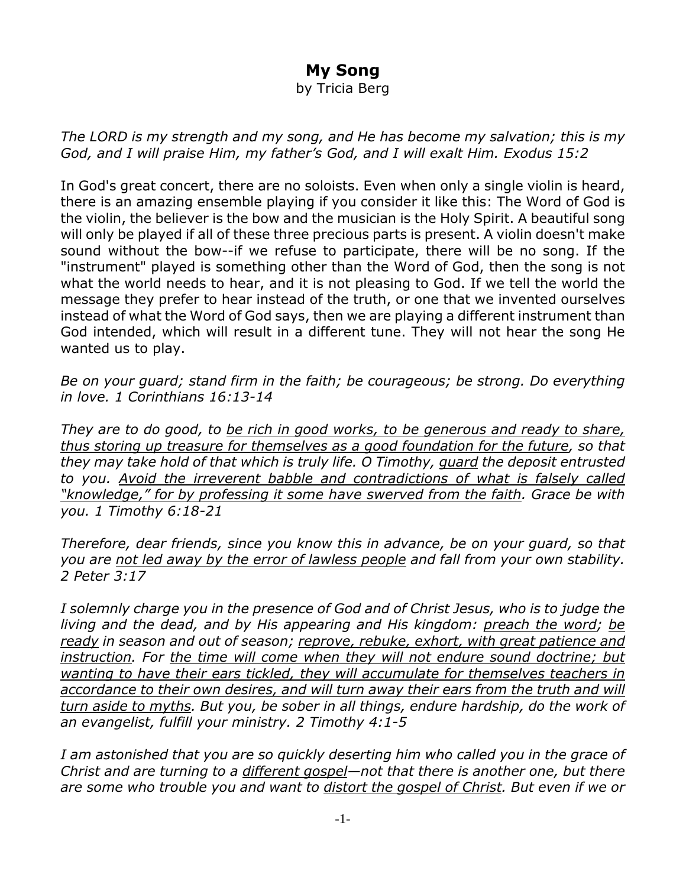## **My Song**

by Tricia Berg

*The LORD is my strength and my song, and He has become my salvation; this is my God, and I will praise Him, my father's God, and I will exalt Him. Exodus 15:2*

In God's great concert, there are no soloists. Even when only a single violin is heard, there is an amazing ensemble playing if you consider it like this: The Word of God is the violin, the believer is the bow and the musician is the Holy Spirit. A beautiful song will only be played if all of these three precious parts is present. A violin doesn't make sound without the bow--if we refuse to participate, there will be no song. If the "instrument" played is something other than the Word of God, then the song is not what the world needs to hear, and it is not pleasing to God. If we tell the world the message they prefer to hear instead of the truth, or one that we invented ourselves instead of what the Word of God says, then we are playing a different instrument than God intended, which will result in a different tune. They will not hear the song He wanted us to play.

*Be on your guard; stand firm in the faith; be courageous; be strong. Do everything in love. 1 Corinthians 16:13-14*

*They are to do good, to be rich in good works, to be generous and ready to share, thus storing up treasure for themselves as a good foundation for the future, so that they may take hold of that which is truly life. O Timothy, guard the deposit entrusted to you. Avoid the irreverent babble and contradictions of what is falsely called "knowledge," for by professing it some have swerved from the faith. Grace be with you. 1 Timothy 6:18-21*

*Therefore, dear friends, since you know this in advance, be on your guard, so that you are not led away by the error of lawless people and fall from your own stability. 2 Peter 3:17*

*I solemnly charge you in the presence of God and of Christ Jesus, who is to judge the living and the dead, and by His appearing and His kingdom: preach the word; be ready in season and out of season; reprove, rebuke, exhort, with great patience and instruction. For the time will come when they will not endure sound doctrine; but wanting to have their ears tickled, they will accumulate for themselves teachers in accordance to their own desires, and will turn away their ears from the truth and will turn aside to myths. But you, be sober in all things, endure hardship, do the work of an evangelist, fulfill your ministry. 2 Timothy 4:1-5*

*I am astonished that you are so quickly deserting him who called you in the grace of Christ and are turning to a different gospel—not that there is another one, but there are some who trouble you and want to distort the gospel of Christ. But even if we or*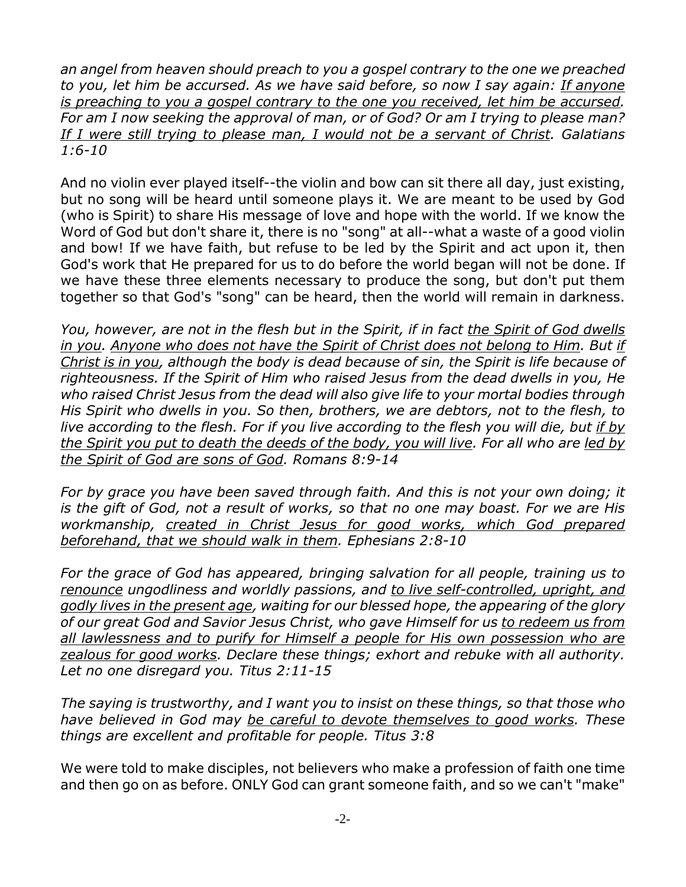*an angel from heaven should preach to you a gospel contrary to the one we preached to you, let him be accursed. As we have said before, so now I say again: If anyone is preaching to you a gospel contrary to the one you received, let him be accursed. For am I now seeking the approval of man, or of God? Or am I trying to please man? If I were still trying to please man, I would not be a servant of Christ. Galatians 1:6-10*

And no violin ever played itself--the violin and bow can sit there all day, just existing, but no song will be heard until someone plays it. We are meant to be used by God (who is Spirit) to share His message of love and hope with the world. If we know the Word of God but don't share it, there is no "song" at all--what a waste of a good violin and bow! If we have faith, but refuse to be led by the Spirit and act upon it, then God's work that He prepared for us to do before the world began will not be done. If we have these three elements necessary to produce the song, but don't put them together so that God's "song" can be heard, then the world will remain in darkness.

*You, however, are not in the flesh but in the Spirit, if in fact the Spirit of God dwells in you. Anyone who does not have the Spirit of Christ does not belong to Him. But if Christ is in you, although the body is dead because of sin, the Spirit is life because of righteousness. If the Spirit of Him who raised Jesus from the dead dwells in you, He who raised Christ Jesus from the dead will also give life to your mortal bodies through His Spirit who dwells in you. So then, brothers, we are debtors, not to the flesh, to live according to the flesh. For if you live according to the flesh you will die, but if by the Spirit you put to death the deeds of the body, you will live. For all who are led by the Spirit of God are sons of God. Romans 8:9-14*

*For by grace you have been saved through faith. And this is not your own doing; it is the gift of God, not a result of works, so that no one may boast. For we are His workmanship, created in Christ Jesus for good works, which God prepared beforehand, that we should walk in them. Ephesians 2:8-10*

*For the grace of God has appeared, bringing salvation for all people, training us to renounce ungodliness and worldly passions, and to live self-controlled, upright, and godly lives in the present age, waiting for our blessed hope, the appearing of the glory of our great God and Savior Jesus Christ, who gave Himself for us to redeem us from all lawlessness and to purify for Himself a people for His own possession who are zealous for good works. Declare these things; exhort and rebuke with all authority. Let no one disregard you. Titus 2:11-15*

*The saying is trustworthy, and I want you to insist on these things, so that those who have believed in God may be careful to devote themselves to good works. These things are excellent and profitable for people. Titus 3:8*

We were told to make disciples, not believers who make a profession of faith one time and then go on as before. ONLY God can grant someone faith, and so we can't "make"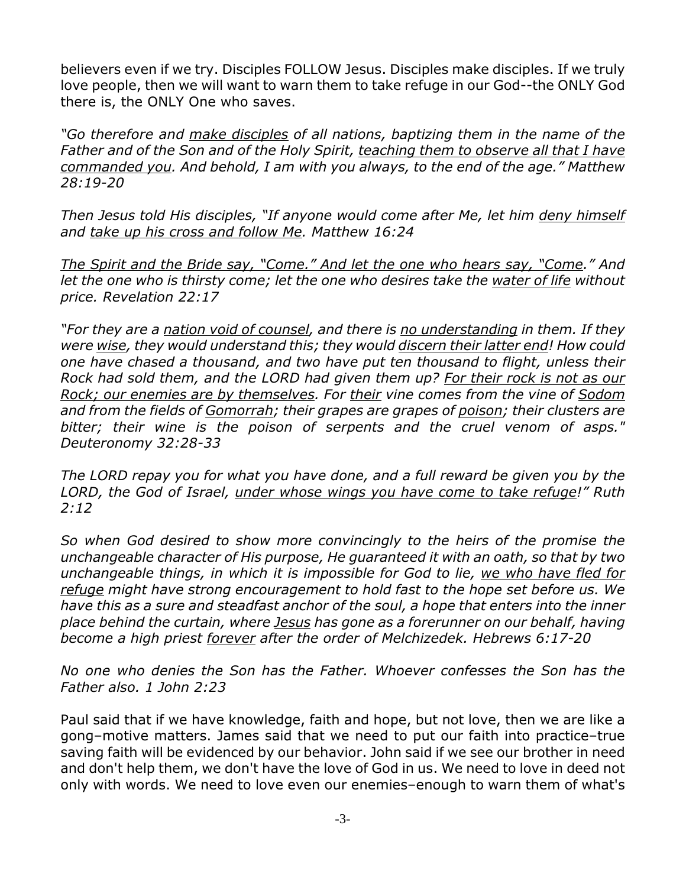believers even if we try. Disciples FOLLOW Jesus. Disciples make disciples. If we truly love people, then we will want to warn them to take refuge in our God--the ONLY God there is, the ONLY One who saves.

*"Go therefore and make disciples of all nations, baptizing them in the name of the Father and of the Son and of the Holy Spirit, teaching them to observe all that I have commanded you. And behold, I am with you always, to the end of the age." Matthew 28:19-20*

*Then Jesus told His disciples, "If anyone would come after Me, let him deny himself and take up his cross and follow Me. Matthew 16:24*

*The Spirit and the Bride say, "Come." And let the one who hears say, "Come." And let the one who is thirsty come; let the one who desires take the water of life without price. Revelation 22:17*

*"For they are a nation void of counsel, and there is no understanding in them. If they were wise, they would understand this; they would discern their latter end! How could one have chased a thousand, and two have put ten thousand to flight, unless their Rock had sold them, and the LORD had given them up? For their rock is not as our Rock; our enemies are by themselves. For their vine comes from the vine of Sodom and from the fields of Gomorrah; their grapes are grapes of poison; their clusters are bitter; their wine is the poison of serpents and the cruel venom of asps." Deuteronomy 32:28-33*

*The LORD repay you for what you have done, and a full reward be given you by the LORD, the God of Israel, under whose wings you have come to take refuge!" Ruth 2:12*

*So when God desired to show more convincingly to the heirs of the promise the unchangeable character of His purpose, He guaranteed it with an oath, so that by two unchangeable things, in which it is impossible for God to lie, we who have fled for refuge might have strong encouragement to hold fast to the hope set before us. We have this as a sure and steadfast anchor of the soul, a hope that enters into the inner place behind the curtain, where Jesus has gone as a forerunner on our behalf, having become a high priest forever after the order of Melchizedek. Hebrews 6:17-20*

*No one who denies the Son has the Father. Whoever confesses the Son has the Father also. 1 John 2:23*

Paul said that if we have knowledge, faith and hope, but not love, then we are like a gong–motive matters. James said that we need to put our faith into practice–true saving faith will be evidenced by our behavior. John said if we see our brother in need and don't help them, we don't have the love of God in us. We need to love in deed not only with words. We need to love even our enemies–enough to warn them of what's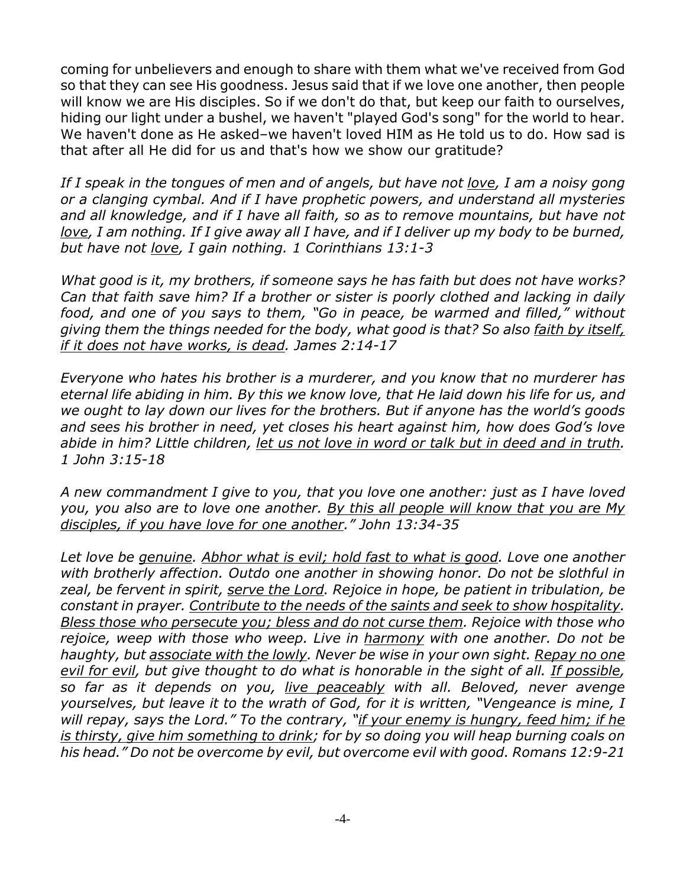coming for unbelievers and enough to share with them what we've received from God so that they can see His goodness. Jesus said that if we love one another, then people will know we are His disciples. So if we don't do that, but keep our faith to ourselves, hiding our light under a bushel, we haven't "played God's song" for the world to hear. We haven't done as He asked–we haven't loved HIM as He told us to do. How sad is that after all He did for us and that's how we show our gratitude?

*If I speak in the tongues of men and of angels, but have not love, I am a noisy gong or a clanging cymbal. And if I have prophetic powers, and understand all mysteries and all knowledge, and if I have all faith, so as to remove mountains, but have not love, I am nothing. If I give away all I have, and if I deliver up my body to be burned, but have not love, I gain nothing. 1 Corinthians 13:1-3*

*What good is it, my brothers, if someone says he has faith but does not have works? Can that faith save him? If a brother or sister is poorly clothed and lacking in daily food, and one of you says to them, "Go in peace, be warmed and filled," without giving them the things needed for the body, what good is that? So also faith by itself, if it does not have works, is dead. James 2:14-17*

*Everyone who hates his brother is a murderer, and you know that no murderer has eternal life abiding in him. By this we know love, that He laid down his life for us, and we ought to lay down our lives for the brothers. But if anyone has the world's goods and sees his brother in need, yet closes his heart against him, how does God's love abide in him? Little children, let us not love in word or talk but in deed and in truth. 1 John 3:15-18*

*A new commandment I give to you, that you love one another: just as I have loved you, you also are to love one another. By this all people will know that you are My disciples, if you have love for one another." John 13:34-35*

*Let love be genuine. Abhor what is evil; hold fast to what is good. Love one another with brotherly affection. Outdo one another in showing honor. Do not be slothful in zeal, be fervent in spirit, serve the Lord. Rejoice in hope, be patient in tribulation, be constant in prayer. Contribute to the needs of the saints and seek to show hospitality. Bless those who persecute you; bless and do not curse them. Rejoice with those who rejoice, weep with those who weep. Live in harmony with one another. Do not be haughty, but associate with the lowly. Never be wise in your own sight. Repay no one evil for evil, but give thought to do what is honorable in the sight of all. If possible, so far as it depends on you, live peaceably with all. Beloved, never avenge yourselves, but leave it to the wrath of God, for it is written, "Vengeance is mine, I will repay, says the Lord." To the contrary, "if your enemy is hungry, feed him; if he is thirsty, give him something to drink; for by so doing you will heap burning coals on his head." Do not be overcome by evil, but overcome evil with good. Romans 12:9-21*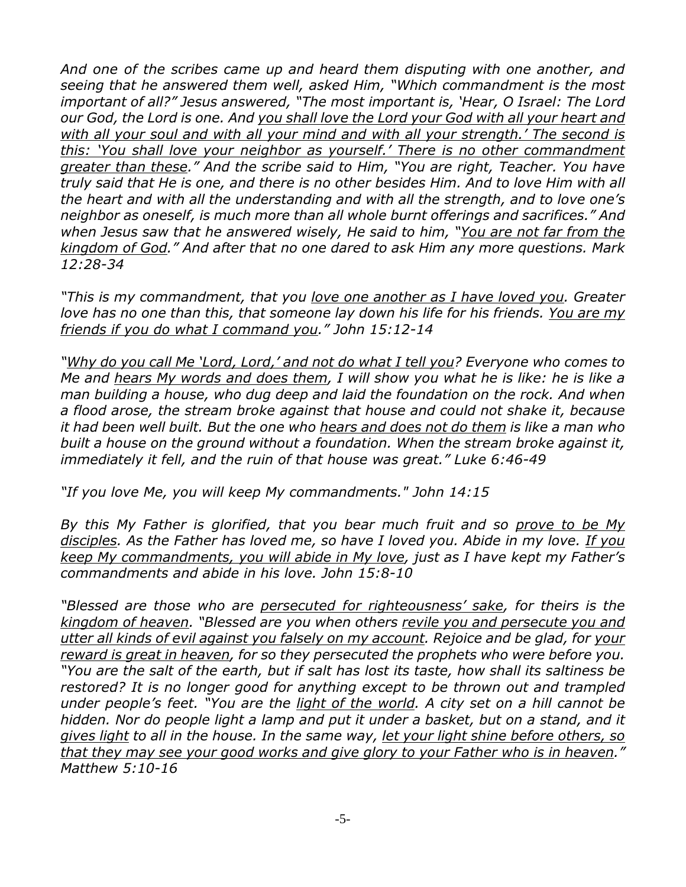*And one of the scribes came up and heard them disputing with one another, and seeing that he answered them well, asked Him, "Which commandment is the most important of all?" Jesus answered, "The most important is, 'Hear, O Israel: The Lord our God, the Lord is one. And you shall love the Lord your God with all your heart and with all your soul and with all your mind and with all your strength.' The second is this: 'You shall love your neighbor as yourself.' There is no other commandment greater than these." And the scribe said to Him, "You are right, Teacher. You have truly said that He is one, and there is no other besides Him. And to love Him with all the heart and with all the understanding and with all the strength, and to love one's neighbor as oneself, is much more than all whole burnt offerings and sacrifices." And when Jesus saw that he answered wisely, He said to him, "You are not far from the kingdom of God." And after that no one dared to ask Him any more questions. Mark 12:28-34*

*"This is my commandment, that you love one another as I have loved you. Greater love has no one than this, that someone lay down his life for his friends. You are my friends if you do what I command you." John 15:12-14*

*"Why do you call Me 'Lord, Lord,' and not do what I tell you? Everyone who comes to Me and hears My words and does them, I will show you what he is like: he is like a man building a house, who dug deep and laid the foundation on the rock. And when a flood arose, the stream broke against that house and could not shake it, because it had been well built. But the one who hears and does not do them is like a man who built a house on the ground without a foundation. When the stream broke against it, immediately it fell, and the ruin of that house was great." Luke 6:46-49*

*"If you love Me, you will keep My commandments." John 14:15*

*By this My Father is glorified, that you bear much fruit and so prove to be My disciples. As the Father has loved me, so have I loved you. Abide in my love. If you keep My commandments, you will abide in My love, just as I have kept my Father's commandments and abide in his love. John 15:8-10*

*"Blessed are those who are persecuted for righteousness' sake, for theirs is the kingdom of heaven. "Blessed are you when others revile you and persecute you and utter all kinds of evil against you falsely on my account. Rejoice and be glad, for your reward is great in heaven, for so they persecuted the prophets who were before you. "You are the salt of the earth, but if salt has lost its taste, how shall its saltiness be restored? It is no longer good for anything except to be thrown out and trampled under people's feet. "You are the light of the world. A city set on a hill cannot be hidden. Nor do people light a lamp and put it under a basket, but on a stand, and it gives light to all in the house. In the same way, let your light shine before others, so that they may see your good works and give glory to your Father who is in heaven." Matthew 5:10-16*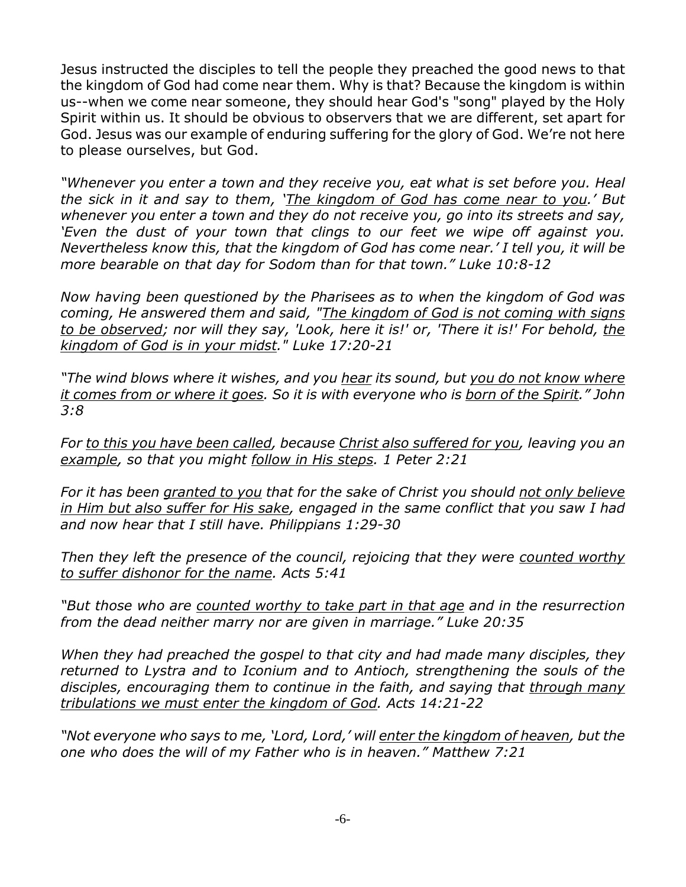Jesus instructed the disciples to tell the people they preached the good news to that the kingdom of God had come near them. Why is that? Because the kingdom is within us--when we come near someone, they should hear God's "song" played by the Holy Spirit within us. It should be obvious to observers that we are different, set apart for God. Jesus was our example of enduring suffering for the glory of God. We're not here to please ourselves, but God.

*"Whenever you enter a town and they receive you, eat what is set before you. Heal the sick in it and say to them, 'The kingdom of God has come near to you.' But whenever you enter a town and they do not receive you, go into its streets and say, 'Even the dust of your town that clings to our feet we wipe off against you. Nevertheless know this, that the kingdom of God has come near.' I tell you, it will be more bearable on that day for Sodom than for that town." Luke 10:8-12*

*Now having been questioned by the Pharisees as to when the kingdom of God was coming, He answered them and said, "The kingdom of God is not coming with signs to be observed; nor will they say, 'Look, here it is!' or, 'There it is!' For behold, the kingdom of God is in your midst." Luke 17:20-21*

*"The wind blows where it wishes, and you hear its sound, but you do not know where it comes from or where it goes. So it is with everyone who is born of the Spirit." John 3:8*

*For to this you have been called, because Christ also suffered for you, leaving you an example, so that you might follow in His steps. 1 Peter 2:21*

*For it has been granted to you that for the sake of Christ you should not only believe in Him but also suffer for His sake, engaged in the same conflict that you saw I had and now hear that I still have. Philippians 1:29-30*

*Then they left the presence of the council, rejoicing that they were counted worthy to suffer dishonor for the name. Acts 5:41*

*"But those who are counted worthy to take part in that age and in the resurrection from the dead neither marry nor are given in marriage." Luke 20:35*

*When they had preached the gospel to that city and had made many disciples, they returned to Lystra and to Iconium and to Antioch, strengthening the souls of the disciples, encouraging them to continue in the faith, and saying that through many tribulations we must enter the kingdom of God. Acts 14:21-22*

*"Not everyone who says to me, 'Lord, Lord,' will enter the kingdom of heaven, but the one who does the will of my Father who is in heaven." Matthew 7:21*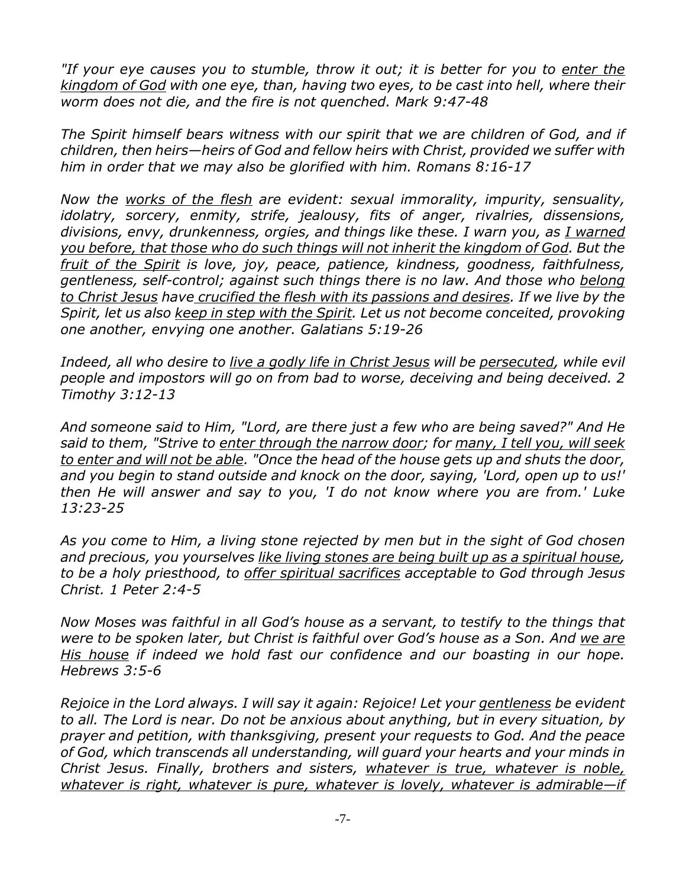*"If your eye causes you to stumble, throw it out; it is better for you to enter the kingdom of God with one eye, than, having two eyes, to be cast into hell, where their worm does not die, and the fire is not quenched. Mark 9:47-48*

*The Spirit himself bears witness with our spirit that we are children of God, and if children, then heirs—heirs of God and fellow heirs with Christ, provided we suffer with him in order that we may also be glorified with him. Romans 8:16-17*

*Now the works of the flesh are evident: sexual immorality, impurity, sensuality, idolatry, sorcery, enmity, strife, jealousy, fits of anger, rivalries, dissensions, divisions, envy, drunkenness, orgies, and things like these. I warn you, as I warned you before, that those who do such things will not inherit the kingdom of God. But the fruit of the Spirit is love, joy, peace, patience, kindness, goodness, faithfulness, gentleness, self-control; against such things there is no law. And those who belong to Christ Jesus have crucified the flesh with its passions and desires. If we live by the Spirit, let us also keep in step with the Spirit. Let us not become conceited, provoking one another, envying one another. Galatians 5:19-26*

*Indeed, all who desire to live a godly life in Christ Jesus will be persecuted, while evil people and impostors will go on from bad to worse, deceiving and being deceived. 2 Timothy 3:12-13*

*And someone said to Him, "Lord, are there just a few who are being saved?" And He said to them, "Strive to enter through the narrow door; for many, I tell you, will seek to enter and will not be able. "Once the head of the house gets up and shuts the door, and you begin to stand outside and knock on the door, saying, 'Lord, open up to us!' then He will answer and say to you, 'I do not know where you are from.' Luke 13:23-25*

*As you come to Him, a living stone rejected by men but in the sight of God chosen and precious, you yourselves like living stones are being built up as a spiritual house, to be a holy priesthood, to offer spiritual sacrifices acceptable to God through Jesus Christ. 1 Peter 2:4-5*

*Now Moses was faithful in all God's house as a servant, to testify to the things that were to be spoken later, but Christ is faithful over God's house as a Son. And we are His house if indeed we hold fast our confidence and our boasting in our hope. Hebrews 3:5-6*

*Rejoice in the Lord always. I will say it again: Rejoice! Let your gentleness be evident to all. The Lord is near. Do not be anxious about anything, but in every situation, by prayer and petition, with thanksgiving, present your requests to God. And the peace of God, which transcends all understanding, will guard your hearts and your minds in Christ Jesus. Finally, brothers and sisters, whatever is true, whatever is noble, whatever is right, whatever is pure, whatever is lovely, whatever is admirable—if*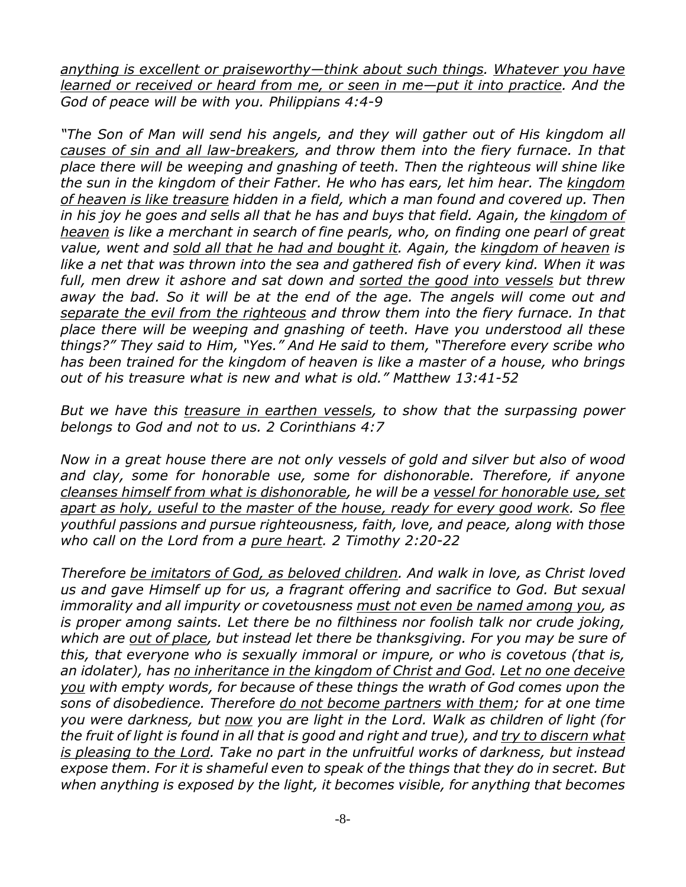*anything is excellent or praiseworthy—think about such things. Whatever you have learned or received or heard from me, or seen in me—put it into practice. And the God of peace will be with you. Philippians 4:4-9*

*"The Son of Man will send his angels, and they will gather out of His kingdom all causes of sin and all law-breakers, and throw them into the fiery furnace. In that place there will be weeping and gnashing of teeth. Then the righteous will shine like the sun in the kingdom of their Father. He who has ears, let him hear. The kingdom of heaven is like treasure hidden in a field, which a man found and covered up. Then in his joy he goes and sells all that he has and buys that field. Again, the kingdom of heaven is like a merchant in search of fine pearls, who, on finding one pearl of great value, went and sold all that he had and bought it. Again, the kingdom of heaven is like a net that was thrown into the sea and gathered fish of every kind. When it was full, men drew it ashore and sat down and sorted the good into vessels but threw away the bad. So it will be at the end of the age. The angels will come out and separate the evil from the righteous and throw them into the fiery furnace. In that place there will be weeping and gnashing of teeth. Have you understood all these things?" They said to Him, "Yes." And He said to them, "Therefore every scribe who has been trained for the kingdom of heaven is like a master of a house, who brings out of his treasure what is new and what is old." Matthew 13:41-52*

*But we have this treasure in earthen vessels, to show that the surpassing power belongs to God and not to us. 2 Corinthians 4:7*

*Now in a great house there are not only vessels of gold and silver but also of wood and clay, some for honorable use, some for dishonorable. Therefore, if anyone cleanses himself from what is dishonorable, he will be a vessel for honorable use, set apart as holy, useful to the master of the house, ready for every good work. So flee youthful passions and pursue righteousness, faith, love, and peace, along with those who call on the Lord from a pure heart. 2 Timothy 2:20-22*

*Therefore be imitators of God, as beloved children. And walk in love, as Christ loved us and gave Himself up for us, a fragrant offering and sacrifice to God. But sexual immorality and all impurity or covetousness must not even be named among you, as is proper among saints. Let there be no filthiness nor foolish talk nor crude joking, which are out of place, but instead let there be thanksgiving. For you may be sure of this, that everyone who is sexually immoral or impure, or who is covetous (that is, an idolater), has no inheritance in the kingdom of Christ and God. Let no one deceive you with empty words, for because of these things the wrath of God comes upon the sons of disobedience. Therefore do not become partners with them; for at one time you were darkness, but now you are light in the Lord. Walk as children of light (for the fruit of light is found in all that is good and right and true), and try to discern what is pleasing to the Lord. Take no part in the unfruitful works of darkness, but instead expose them. For it is shameful even to speak of the things that they do in secret. But when anything is exposed by the light, it becomes visible, for anything that becomes*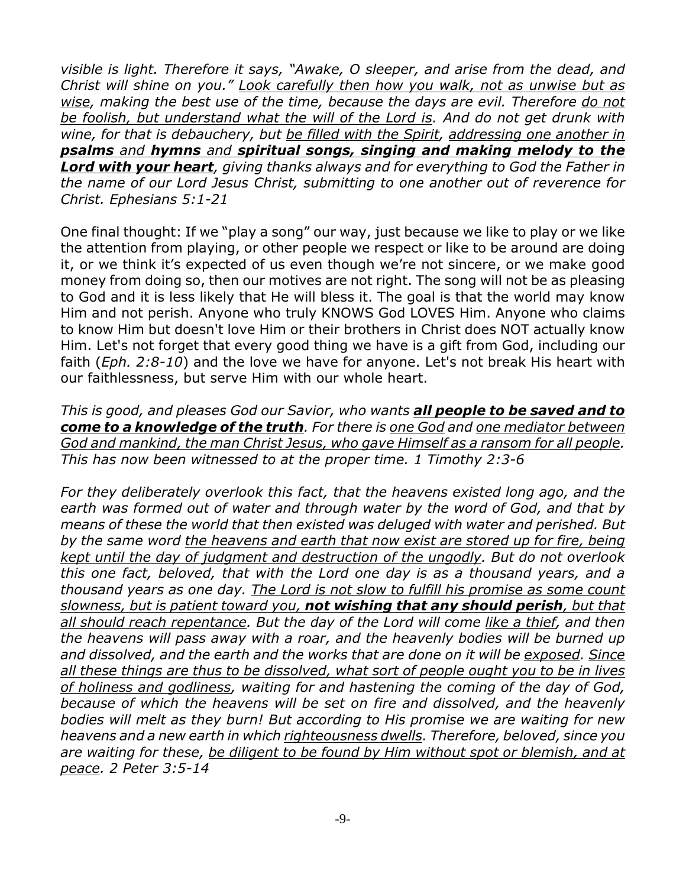*visible is light. Therefore it says, "Awake, O sleeper, and arise from the dead, and Christ will shine on you." Look carefully then how you walk, not as unwise but as wise, making the best use of the time, because the days are evil. Therefore do not be foolish, but understand what the will of the Lord is. And do not get drunk with wine, for that is debauchery, but be filled with the Spirit, addressing one another in psalms and hymns and spiritual songs, singing and making melody to the Lord with your heart, giving thanks always and for everything to God the Father in the name of our Lord Jesus Christ, submitting to one another out of reverence for Christ. Ephesians 5:1-21*

One final thought: If we "play a song" our way, just because we like to play or we like the attention from playing, or other people we respect or like to be around are doing it, or we think it's expected of us even though we're not sincere, or we make good money from doing so, then our motives are not right. The song will not be as pleasing to God and it is less likely that He will bless it. The goal is that the world may know Him and not perish. Anyone who truly KNOWS God LOVES Him. Anyone who claims to know Him but doesn't love Him or their brothers in Christ does NOT actually know Him. Let's not forget that every good thing we have is a gift from God, including our faith (*Eph. 2:8-10*) and the love we have for anyone. Let's not break His heart with our faithlessness, but serve Him with our whole heart.

*This is good, and pleases God our Savior, who wants all people to be saved and to come to a knowledge of the truth. For there is one God and one mediator between God and mankind, the man Christ Jesus, who gave Himself as a ransom for all people. This has now been witnessed to at the proper time. 1 Timothy 2:3-6*

*For they deliberately overlook this fact, that the heavens existed long ago, and the earth was formed out of water and through water by the word of God, and that by means of these the world that then existed was deluged with water and perished. But by the same word the heavens and earth that now exist are stored up for fire, being kept until the day of judgment and destruction of the ungodly. But do not overlook this one fact, beloved, that with the Lord one day is as a thousand years, and a thousand years as one day. The Lord is not slow to fulfill his promise as some count slowness, but is patient toward you, not wishing that any should perish, but that all should reach repentance. But the day of the Lord will come like a thief, and then the heavens will pass away with a roar, and the heavenly bodies will be burned up and dissolved, and the earth and the works that are done on it will be exposed. Since all these things are thus to be dissolved, what sort of people ought you to be in lives of holiness and godliness, waiting for and hastening the coming of the day of God, because of which the heavens will be set on fire and dissolved, and the heavenly bodies will melt as they burn! But according to His promise we are waiting for new heavens and a new earth in which righteousness dwells. Therefore, beloved, since you are waiting for these, be diligent to be found by Him without spot or blemish, and at peace. 2 Peter 3:5-14*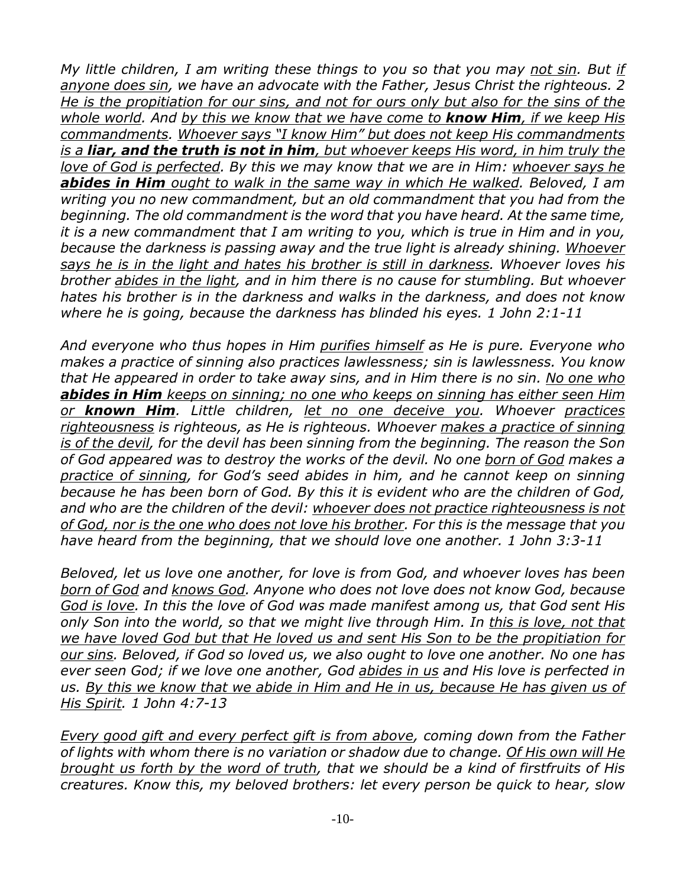*My little children, I am writing these things to you so that you may not sin. But if anyone does sin, we have an advocate with the Father, Jesus Christ the righteous. 2 He is the propitiation for our sins, and not for ours only but also for the sins of the whole world. And by this we know that we have come to know Him, if we keep His commandments. Whoever says "I know Him" but does not keep His commandments is a liar, and the truth is not in him, but whoever keeps His word, in him truly the love of God is perfected. By this we may know that we are in Him: whoever says he abides in Him ought to walk in the same way in which He walked. Beloved, I am writing you no new commandment, but an old commandment that you had from the beginning. The old commandment is the word that you have heard. At the same time, it is a new commandment that I am writing to you, which is true in Him and in you, because the darkness is passing away and the true light is already shining. Whoever says he is in the light and hates his brother is still in darkness. Whoever loves his brother abides in the light, and in him there is no cause for stumbling. But whoever hates his brother is in the darkness and walks in the darkness, and does not know where he is going, because the darkness has blinded his eyes. 1 John 2:1-11*

*And everyone who thus hopes in Him purifies himself as He is pure. Everyone who makes a practice of sinning also practices lawlessness; sin is lawlessness. You know that He appeared in order to take away sins, and in Him there is no sin. No one who abides in Him keeps on sinning; no one who keeps on sinning has either seen Him or known Him. Little children, let no one deceive you. Whoever practices righteousness is righteous, as He is righteous. Whoever makes a practice of sinning is of the devil, for the devil has been sinning from the beginning. The reason the Son of God appeared was to destroy the works of the devil. No one born of God makes a practice of sinning, for God's seed abides in him, and he cannot keep on sinning because he has been born of God. By this it is evident who are the children of God, and who are the children of the devil: whoever does not practice righteousness is not of God, nor is the one who does not love his brother. For this is the message that you have heard from the beginning, that we should love one another. 1 John 3:3-11*

*Beloved, let us love one another, for love is from God, and whoever loves has been born of God and knows God. Anyone who does not love does not know God, because God is love. In this the love of God was made manifest among us, that God sent His only Son into the world, so that we might live through Him. In this is love, not that we have loved God but that He loved us and sent His Son to be the propitiation for our sins. Beloved, if God so loved us, we also ought to love one another. No one has ever seen God; if we love one another, God abides in us and His love is perfected in us. By this we know that we abide in Him and He in us, because He has given us of His Spirit. 1 John 4:7-13*

*Every good gift and every perfect gift is from above, coming down from the Father of lights with whom there is no variation or shadow due to change. Of His own will He brought us forth by the word of truth, that we should be a kind of firstfruits of His creatures. Know this, my beloved brothers: let every person be quick to hear, slow*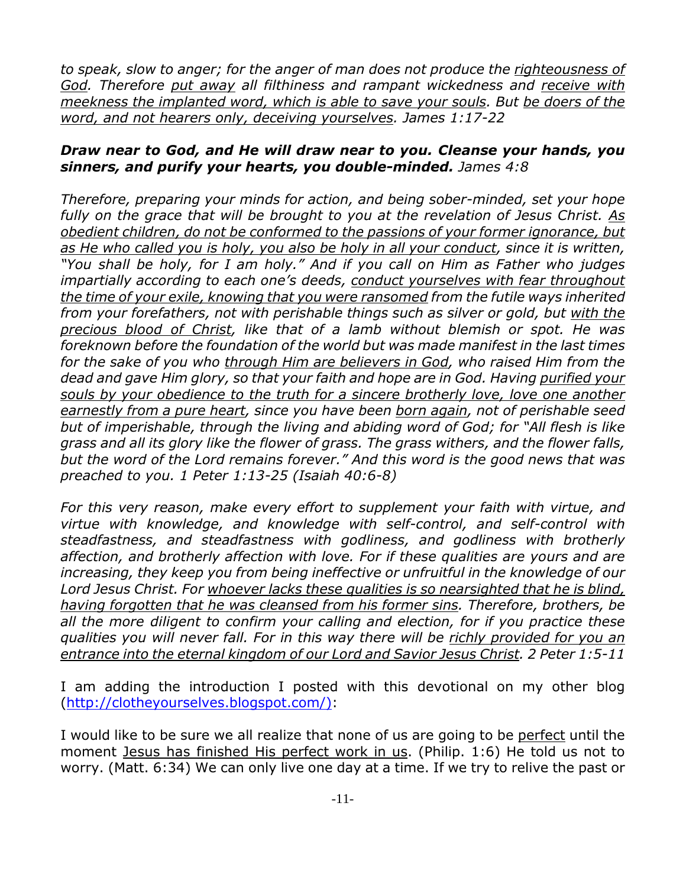*to speak, slow to anger; for the anger of man does not produce the righteousness of God. Therefore put away all filthiness and rampant wickedness and receive with meekness the implanted word, which is able to save your souls. But be doers of the word, and not hearers only, deceiving yourselves. James 1:17-22*

## *Draw near to God, and He will draw near to you. Cleanse your hands, you sinners, and purify your hearts, you double-minded. James 4:8*

*Therefore, preparing your minds for action, and being sober-minded, set your hope fully on the grace that will be brought to you at the revelation of Jesus Christ. As obedient children, do not be conformed to the passions of your former ignorance, but as He who called you is holy, you also be holy in all your conduct, since it is written, "You shall be holy, for I am holy." And if you call on Him as Father who judges impartially according to each one's deeds, conduct yourselves with fear throughout the time of your exile, knowing that you were ransomed from the futile ways inherited from your forefathers, not with perishable things such as silver or gold, but with the precious blood of Christ, like that of a lamb without blemish or spot. He was foreknown before the foundation of the world but was made manifest in the last times for the sake of you who through Him are believers in God, who raised Him from the dead and gave Him glory, so that your faith and hope are in God. Having purified your souls by your obedience to the truth for a sincere brotherly love, love one another earnestly from a pure heart, since you have been born again, not of perishable seed but of imperishable, through the living and abiding word of God; for "All flesh is like grass and all its glory like the flower of grass. The grass withers, and the flower falls, but the word of the Lord remains forever." And this word is the good news that was preached to you. 1 Peter 1:13-25 (Isaiah 40:6-8)*

*For this very reason, make every effort to supplement your faith with virtue, and virtue with knowledge, and knowledge with self-control, and self-control with steadfastness, and steadfastness with godliness, and godliness with brotherly affection, and brotherly affection with love. For if these qualities are yours and are increasing, they keep you from being ineffective or unfruitful in the knowledge of our Lord Jesus Christ. For whoever lacks these qualities is so nearsighted that he is blind, having forgotten that he was cleansed from his former sins. Therefore, brothers, be all the more diligent to confirm your calling and election, for if you practice these qualities you will never fall. For in this way there will be richly provided for you an entrance into the eternal kingdom of our Lord and Savior Jesus Christ. 2 Peter 1:5-11*

I am adding the introduction I posted with this devotional on my other blog (http://clotheyourselves.blogspot.com/):

I would like to be sure we all realize that none of us are going to be perfect until the moment Jesus has finished His perfect work in us. (Philip. 1:6) He told us not to worry. (Matt. 6:34) We can only live one day at a time. If we try to relive the past or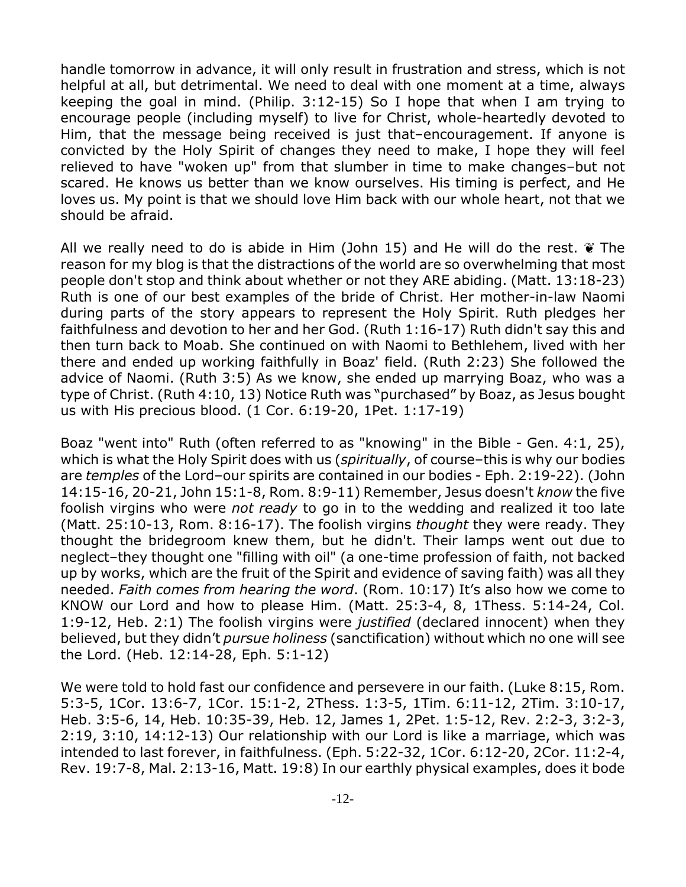handle tomorrow in advance, it will only result in frustration and stress, which is not helpful at all, but detrimental. We need to deal with one moment at a time, always keeping the goal in mind. (Philip. 3:12-15) So I hope that when I am trying to encourage people (including myself) to live for Christ, whole-heartedly devoted to Him, that the message being received is just that–encouragement. If anyone is convicted by the Holy Spirit of changes they need to make, I hope they will feel relieved to have "woken up" from that slumber in time to make changes–but not scared. He knows us better than we know ourselves. His timing is perfect, and He loves us. My point is that we should love Him back with our whole heart, not that we should be afraid.

All we really need to do is abide in Him (John 15) and He will do the rest.  $\tilde{\mathbf{v}}$  The reason for my blog is that the distractions of the world are so overwhelming that most people don't stop and think about whether or not they ARE abiding. (Matt. 13:18-23) Ruth is one of our best examples of the bride of Christ. Her mother-in-law Naomi during parts of the story appears to represent the Holy Spirit. Ruth pledges her faithfulness and devotion to her and her God. (Ruth 1:16-17) Ruth didn't say this and then turn back to Moab. She continued on with Naomi to Bethlehem, lived with her there and ended up working faithfully in Boaz' field. (Ruth 2:23) She followed the advice of Naomi. (Ruth 3:5) As we know, she ended up marrying Boaz, who was a type of Christ. (Ruth 4:10, 13) Notice Ruth was "purchased" by Boaz, as Jesus bought us with His precious blood. (1 Cor. 6:19-20, 1Pet. 1:17-19)

Boaz "went into" Ruth (often referred to as "knowing" in the Bible - Gen. 4:1, 25), which is what the Holy Spirit does with us (*spiritually*, of course–this is why our bodies are *temples* of the Lord–our spirits are contained in our bodies - Eph. 2:19-22). (John 14:15-16, 20-21, John 15:1-8, Rom. 8:9-11) Remember, Jesus doesn't *know* the five foolish virgins who were *not ready* to go in to the wedding and realized it too late (Matt. 25:10-13, Rom. 8:16-17). The foolish virgins *thought* they were ready. They thought the bridegroom knew them, but he didn't. Their lamps went out due to neglect–they thought one "filling with oil" (a one-time profession of faith, not backed up by works, which are the fruit of the Spirit and evidence of saving faith) was all they needed. *Faith comes from hearing the word*. (Rom. 10:17) It's also how we come to KNOW our Lord and how to please Him. (Matt. 25:3-4, 8, 1Thess. 5:14-24, Col. 1:9-12, Heb. 2:1) The foolish virgins were *justified* (declared innocent) when they believed, but they didn't *pursue holiness* (sanctification) without which no one will see the Lord. (Heb. 12:14-28, Eph. 5:1-12)

We were told to hold fast our confidence and persevere in our faith. (Luke 8:15, Rom. 5:3-5, 1Cor. 13:6-7, 1Cor. 15:1-2, 2Thess. 1:3-5, 1Tim. 6:11-12, 2Tim. 3:10-17, Heb. 3:5-6, 14, Heb. 10:35-39, Heb. 12, James 1, 2Pet. 1:5-12, Rev. 2:2-3, 3:2-3, 2:19, 3:10, 14:12-13) Our relationship with our Lord is like a marriage, which was intended to last forever, in faithfulness. (Eph. 5:22-32, 1Cor. 6:12-20, 2Cor. 11:2-4, Rev. 19:7-8, Mal. 2:13-16, Matt. 19:8) In our earthly physical examples, does it bode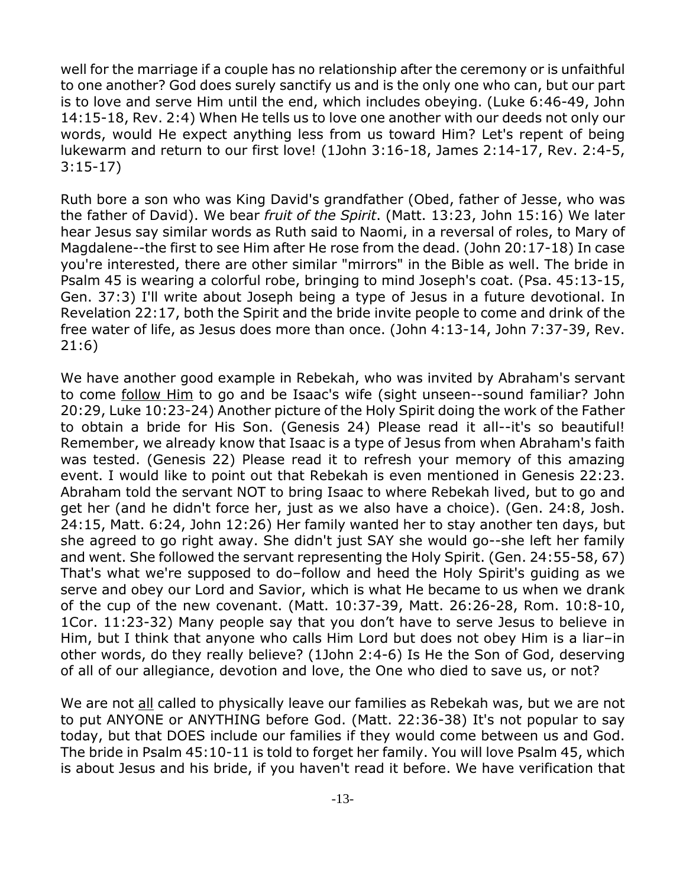well for the marriage if a couple has no relationship after the ceremony or is unfaithful to one another? God does surely sanctify us and is the only one who can, but our part is to love and serve Him until the end, which includes obeying. (Luke 6:46-49, John 14:15-18, Rev. 2:4) When He tells us to love one another with our deeds not only our words, would He expect anything less from us toward Him? Let's repent of being lukewarm and return to our first love! (1John 3:16-18, James 2:14-17, Rev. 2:4-5, 3:15-17)

Ruth bore a son who was King David's grandfather (Obed, father of Jesse, who was the father of David). We bear *fruit of the Spirit*. (Matt. 13:23, John 15:16) We later hear Jesus say similar words as Ruth said to Naomi, in a reversal of roles, to Mary of Magdalene--the first to see Him after He rose from the dead. (John 20:17-18) In case you're interested, there are other similar "mirrors" in the Bible as well. The bride in Psalm 45 is wearing a colorful robe, bringing to mind Joseph's coat. (Psa. 45:13-15, Gen. 37:3) I'll write about Joseph being a type of Jesus in a future devotional. In Revelation 22:17, both the Spirit and the bride invite people to come and drink of the free water of life, as Jesus does more than once. (John 4:13-14, John 7:37-39, Rev. 21:6)

We have another good example in Rebekah, who was invited by Abraham's servant to come follow Him to go and be Isaac's wife (sight unseen--sound familiar? John 20:29, Luke 10:23-24) Another picture of the Holy Spirit doing the work of the Father to obtain a bride for His Son. (Genesis 24) Please read it all--it's so beautiful! Remember, we already know that Isaac is a type of Jesus from when Abraham's faith was tested. (Genesis 22) Please read it to refresh your memory of this amazing event. I would like to point out that Rebekah is even mentioned in Genesis 22:23. Abraham told the servant NOT to bring Isaac to where Rebekah lived, but to go and get her (and he didn't force her, just as we also have a choice). (Gen. 24:8, Josh. 24:15, Matt. 6:24, John 12:26) Her family wanted her to stay another ten days, but she agreed to go right away. She didn't just SAY she would go--she left her family and went. She followed the servant representing the Holy Spirit. (Gen. 24:55-58, 67) That's what we're supposed to do–follow and heed the Holy Spirit's guiding as we serve and obey our Lord and Savior, which is what He became to us when we drank of the cup of the new covenant. (Matt. 10:37-39, Matt. 26:26-28, Rom. 10:8-10, 1Cor. 11:23-32) Many people say that you don't have to serve Jesus to believe in Him, but I think that anyone who calls Him Lord but does not obey Him is a liar–in other words, do they really believe? (1John 2:4-6) Is He the Son of God, deserving of all of our allegiance, devotion and love, the One who died to save us, or not?

We are not all called to physically leave our families as Rebekah was, but we are not to put ANYONE or ANYTHING before God. (Matt. 22:36-38) It's not popular to say today, but that DOES include our families if they would come between us and God. The bride in Psalm 45:10-11 is told to forget her family. You will love Psalm 45, which is about Jesus and his bride, if you haven't read it before. We have verification that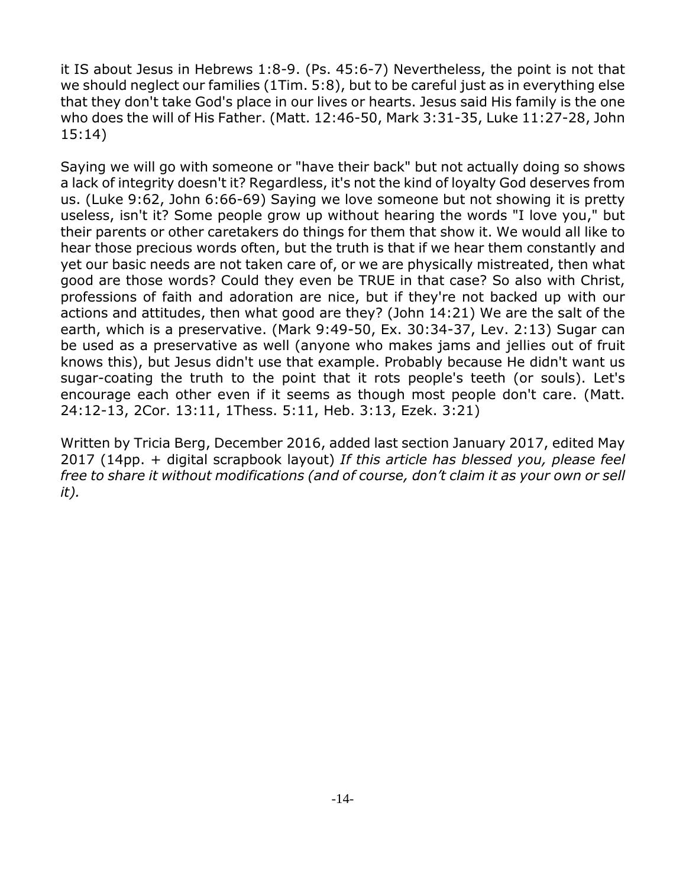it IS about Jesus in Hebrews 1:8-9. (Ps. 45:6-7) Nevertheless, the point is not that we should neglect our families (1Tim. 5:8), but to be careful just as in everything else that they don't take God's place in our lives or hearts. Jesus said His family is the one who does the will of His Father. (Matt. 12:46-50, Mark 3:31-35, Luke 11:27-28, John 15:14)

Saying we will go with someone or "have their back" but not actually doing so shows a lack of integrity doesn't it? Regardless, it's not the kind of loyalty God deserves from us. (Luke 9:62, John 6:66-69) Saying we love someone but not showing it is pretty useless, isn't it? Some people grow up without hearing the words "I love you," but their parents or other caretakers do things for them that show it. We would all like to hear those precious words often, but the truth is that if we hear them constantly and yet our basic needs are not taken care of, or we are physically mistreated, then what good are those words? Could they even be TRUE in that case? So also with Christ, professions of faith and adoration are nice, but if they're not backed up with our actions and attitudes, then what good are they? (John 14:21) We are the salt of the earth, which is a preservative. (Mark 9:49-50, Ex. 30:34-37, Lev. 2:13) Sugar can be used as a preservative as well (anyone who makes jams and jellies out of fruit knows this), but Jesus didn't use that example. Probably because He didn't want us sugar-coating the truth to the point that it rots people's teeth (or souls). Let's encourage each other even if it seems as though most people don't care. (Matt. 24:12-13, 2Cor. 13:11, 1Thess. 5:11, Heb. 3:13, Ezek. 3:21)

Written by Tricia Berg, December 2016, added last section January 2017, edited May 2017 (14pp. + digital scrapbook layout) *If this article has blessed you, please feel free to share it without modifications (and of course, don't claim it as your own or sell it).*